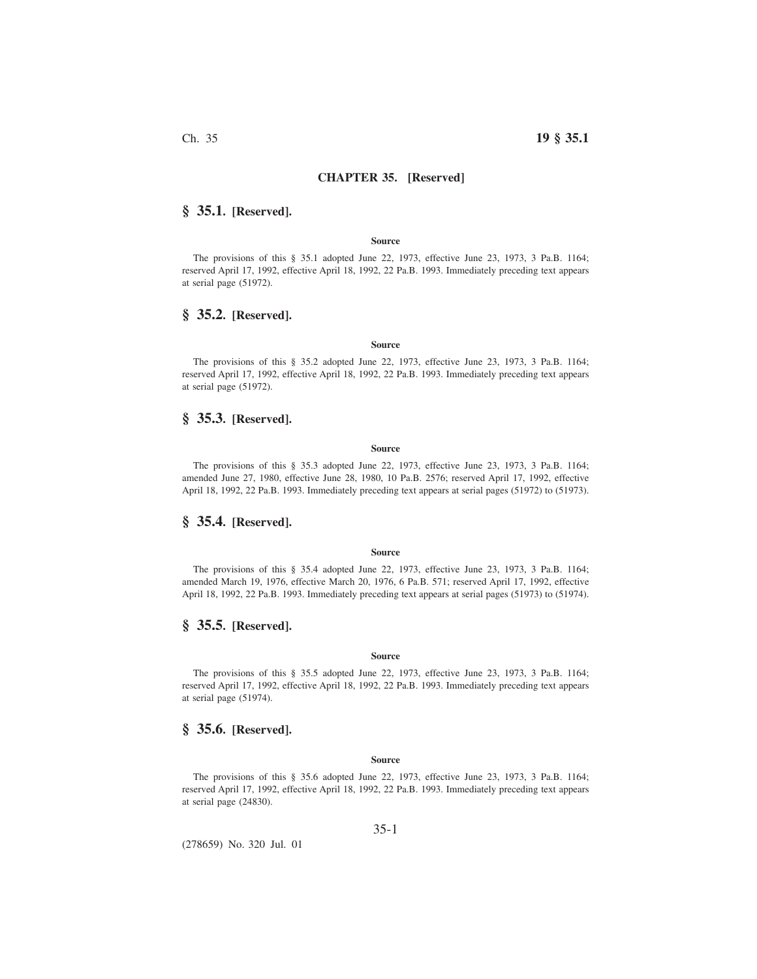# **CHAPTER 35. [Reserved]**

## **§ 35.1. [Reserved].**

### **Source**

The provisions of this § 35.1 adopted June 22, 1973, effective June 23, 1973, 3 Pa.B. 1164; reserved April 17, 1992, effective April 18, 1992, 22 Pa.B. 1993. Immediately preceding text appears at serial page (51972).

# **§ 35.2. [Reserved].**

### **Source**

The provisions of this § 35.2 adopted June 22, 1973, effective June 23, 1973, 3 Pa.B. 1164; reserved April 17, 1992, effective April 18, 1992, 22 Pa.B. 1993. Immediately preceding text appears at serial page (51972).

## **§ 35.3. [Reserved].**

#### **Source**

The provisions of this § 35.3 adopted June 22, 1973, effective June 23, 1973, 3 Pa.B. 1164; amended June 27, 1980, effective June 28, 1980, 10 Pa.B. 2576; reserved April 17, 1992, effective April 18, 1992, 22 Pa.B. 1993. Immediately preceding text appears at serial pages (51972) to (51973).

## **§ 35.4. [Reserved].**

## **Source**

The provisions of this § 35.4 adopted June 22, 1973, effective June 23, 1973, 3 Pa.B. 1164; amended March 19, 1976, effective March 20, 1976, 6 Pa.B. 571; reserved April 17, 1992, effective April 18, 1992, 22 Pa.B. 1993. Immediately preceding text appears at serial pages (51973) to (51974).

## **§ 35.5. [Reserved].**

#### **Source**

The provisions of this § 35.5 adopted June 22, 1973, effective June 23, 1973, 3 Pa.B. 1164; reserved April 17, 1992, effective April 18, 1992, 22 Pa.B. 1993. Immediately preceding text appears at serial page (51974).

## **§ 35.6. [Reserved].**

### **Source**

The provisions of this § 35.6 adopted June 22, 1973, effective June 23, 1973, 3 Pa.B. 1164; reserved April 17, 1992, effective April 18, 1992, 22 Pa.B. 1993. Immediately preceding text appears at serial page (24830).

35-1

(278659) No. 320 Jul. 01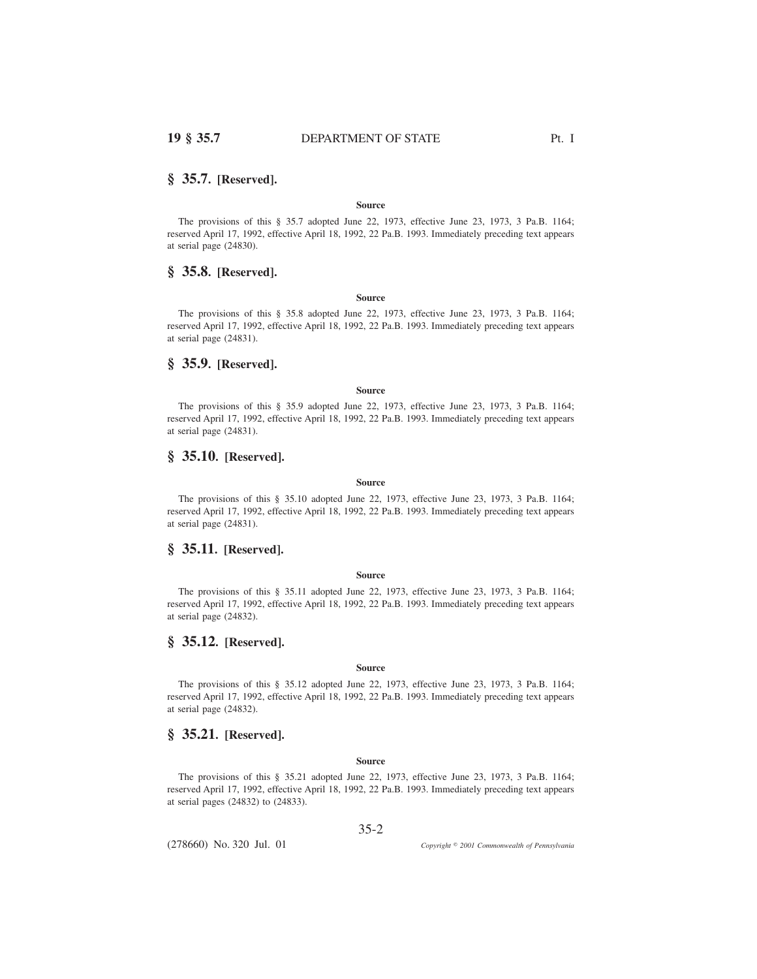## **§ 35.7. [Reserved].**

### **Source**

The provisions of this § 35.7 adopted June 22, 1973, effective June 23, 1973, 3 Pa.B. 1164; reserved April 17, 1992, effective April 18, 1992, 22 Pa.B. 1993. Immediately preceding text appears at serial page (24830).

# **§ 35.8. [Reserved].**

## **Source**

The provisions of this § 35.8 adopted June 22, 1973, effective June 23, 1973, 3 Pa.B. 1164; reserved April 17, 1992, effective April 18, 1992, 22 Pa.B. 1993. Immediately preceding text appears at serial page (24831).

# **§ 35.9. [Reserved].**

#### **Source**

The provisions of this § 35.9 adopted June 22, 1973, effective June 23, 1973, 3 Pa.B. 1164; reserved April 17, 1992, effective April 18, 1992, 22 Pa.B. 1993. Immediately preceding text appears at serial page (24831).

## **§ 35.10. [Reserved].**

### **Source**

The provisions of this § 35.10 adopted June 22, 1973, effective June 23, 1973, 3 Pa.B. 1164; reserved April 17, 1992, effective April 18, 1992, 22 Pa.B. 1993. Immediately preceding text appears at serial page (24831).

## **§ 35.11. [Reserved].**

### **Source**

The provisions of this § 35.11 adopted June 22, 1973, effective June 23, 1973, 3 Pa.B. 1164; reserved April 17, 1992, effective April 18, 1992, 22 Pa.B. 1993. Immediately preceding text appears at serial page (24832).

## **§ 35.12. [Reserved].**

### **Source**

The provisions of this § 35.12 adopted June 22, 1973, effective June 23, 1973, 3 Pa.B. 1164; reserved April 17, 1992, effective April 18, 1992, 22 Pa.B. 1993. Immediately preceding text appears at serial page (24832).

## **§ 35.21. [Reserved].**

### **Source**

The provisions of this § 35.21 adopted June 22, 1973, effective June 23, 1973, 3 Pa.B. 1164; reserved April 17, 1992, effective April 18, 1992, 22 Pa.B. 1993. Immediately preceding text appears at serial pages (24832) to (24833).

35-2

(278660) No. 320 Jul. 01

*2001 Commonwealth of Pennsylvania*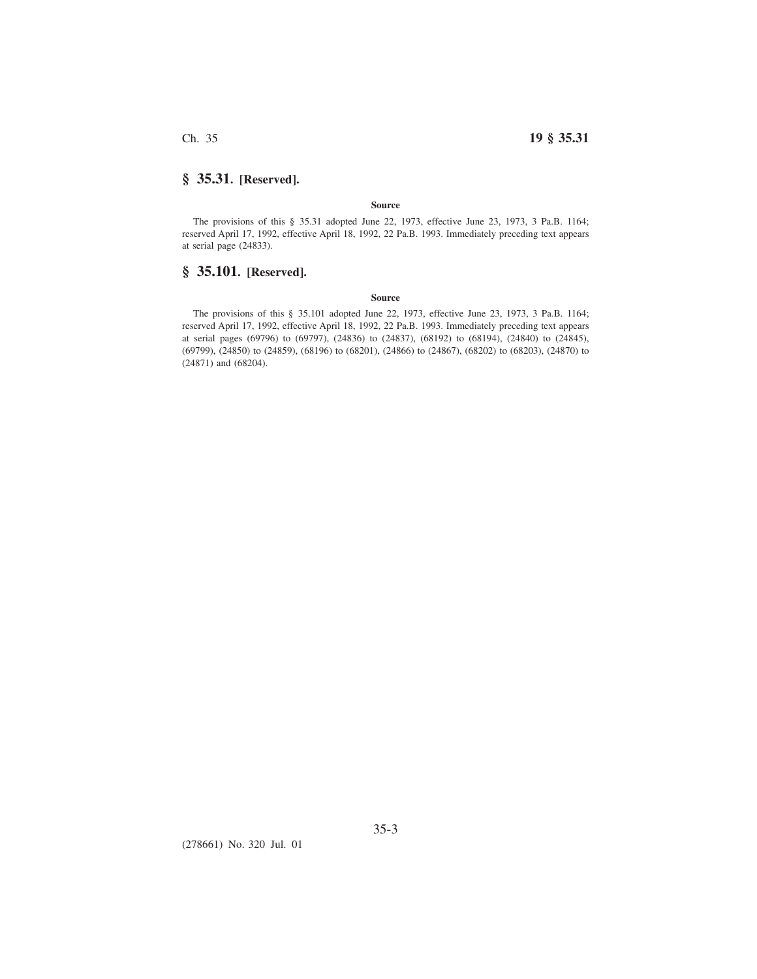Ch. 35 **19 § 35.31**

# **§ 35.31. [Reserved].**

### **Source**

The provisions of this § 35.31 adopted June 22, 1973, effective June 23, 1973, 3 Pa.B. 1164; reserved April 17, 1992, effective April 18, 1992, 22 Pa.B. 1993. Immediately preceding text appears at serial page (24833).

# **§ 35.101. [Reserved].**

## **Source**

The provisions of this § 35.101 adopted June 22, 1973, effective June 23, 1973, 3 Pa.B. 1164; reserved April 17, 1992, effective April 18, 1992, 22 Pa.B. 1993. Immediately preceding text appears at serial pages (69796) to (69797), (24836) to (24837), (68192) to (68194), (24840) to (24845), (69799), (24850) to (24859), (68196) to (68201), (24866) to (24867), (68202) to (68203), (24870) to (24871) and (68204).

(278661) No. 320 Jul. 01